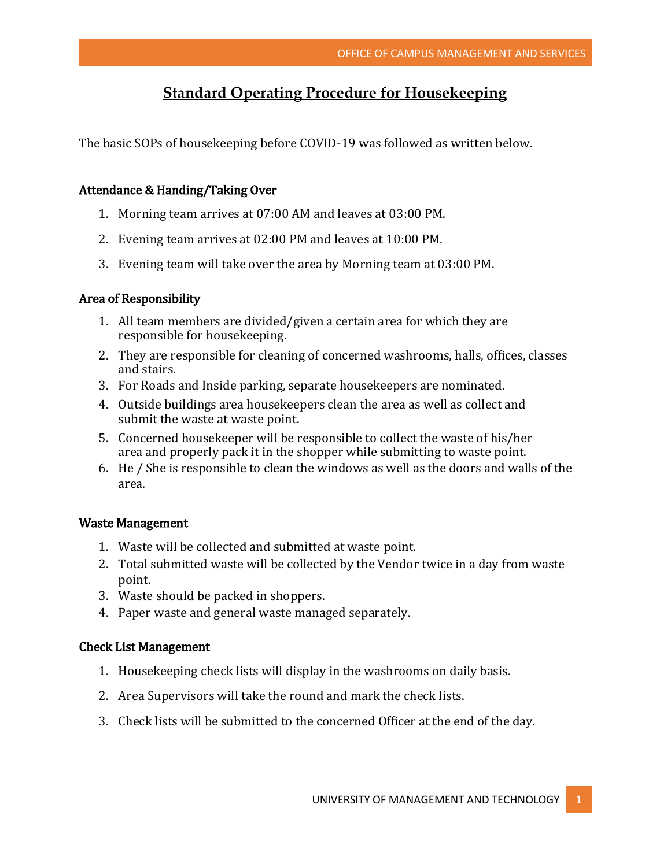# **Standard Operating Procedure for Housekeeping**

The basic SOPs of housekeeping before COVID-19 was followed as written below.

#### Attendance & Handing/Taking Over

- 1. Morning team arrives at 07:00 AM and leaves at 03:00 PM.
- 2. Evening team arrives at 02:00 PM and leaves at 10:00 PM.
- 3. Evening team will take over the area by Morning team at 03:00 PM.

#### Area of Responsibility

- 1. All team members are divided/given a certain area for which they are responsible for housekeeping.
- 2. They are responsible for cleaning of concerned washrooms, halls, offices, classes and stairs.
- 3. For Roads and Inside parking, separate housekeepers are nominated.
- 4. Outside buildings area housekeepers clean the area as well as collect and submit the waste at waste point.
- 5. Concerned housekeeper will be responsible to collect the waste of his/her area and properly pack it in the shopper while submitting to waste point.
- 6. He / She is responsible to clean the windows as well as the doors and walls of the area.

#### Waste Management

- 1. Waste will be collected and submitted at waste point.
- 2. Total submitted waste will be collected by the Vendor twice in a day from waste point.
- 3. Waste should be packed in shoppers.
- 4. Paper waste and general waste managed separately.

#### Check List Management

- 1. Housekeeping check lists will display in the washrooms on daily basis.
- 2. Area Supervisors will take the round and mark the check lists.
- 3. Check lists will be submitted to the concerned Officer at the end of the day.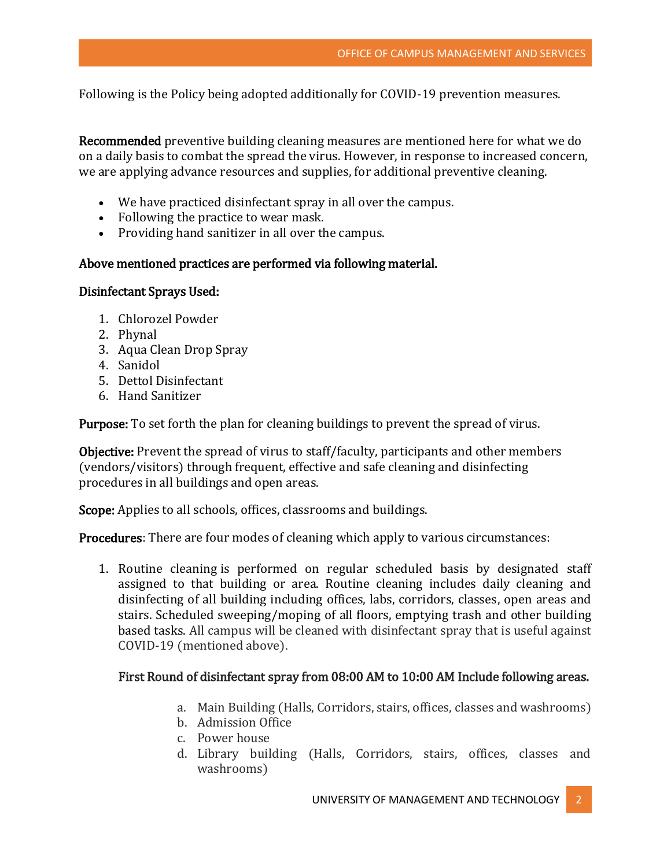Following is the Policy being adopted additionally for COVID-19 prevention measures.

Recommended preventive building cleaning measures are mentioned here for what we do on a daily basis to combat the spread the virus. However, in response to increased concern, we are applying advance resources and supplies, for additional preventive cleaning.

- We have practiced disinfectant spray in all over the campus.
- Following the practice to wear mask.
- Providing hand sanitizer in all over the campus.

# Above mentioned practices are performed via following material.

## Disinfectant Sprays Used:

- 1. Chlorozel Powder
- 2. Phynal
- 3. Aqua Clean Drop Spray
- 4. Sanidol
- 5. Dettol Disinfectant
- 6. Hand Sanitizer

Purpose: To set forth the plan for cleaning buildings to prevent the spread of virus.

Objective: Prevent the spread of virus to staff/faculty, participants and other members (vendors/visitors) through frequent, effective and safe cleaning and disinfecting procedures in all buildings and open areas.

Scope: Applies to all schools, offices, classrooms and buildings.

Procedures: There are four modes of cleaning which apply to various circumstances:

1. Routine cleaning is performed on regular scheduled basis by designated staff assigned to that building or area. Routine cleaning includes daily cleaning and disinfecting of all building including offices, labs, corridors, classes, open areas and stairs. Scheduled sweeping/moping of all floors, emptying trash and other building based tasks. All campus will be cleaned with disinfectant spray that is useful against COVID-19 (mentioned above).

# First Round of disinfectant spray from 08:00 AM to 10:00 AM Include following areas.

- a. Main Building (Halls, Corridors, stairs, offices, classes and washrooms)
- b. Admission Office
- c. Power house
- d. Library building (Halls, Corridors, stairs, offices, classes and washrooms)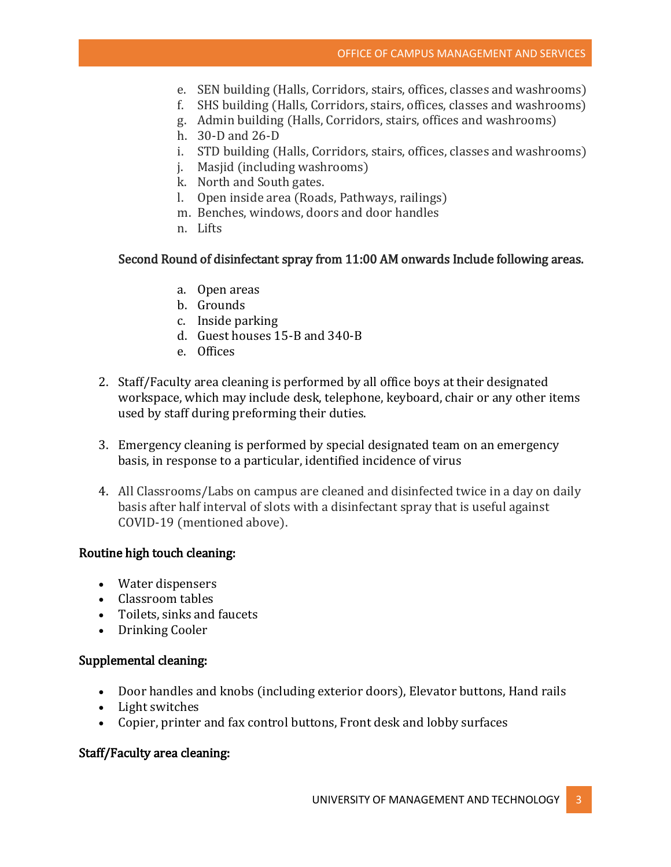- e. SEN building (Halls, Corridors, stairs, offices, classes and washrooms)
- f. SHS building (Halls, Corridors, stairs, offices, classes and washrooms)
- g. Admin building (Halls, Corridors, stairs, offices and washrooms)
- h. 30-D and 26-D
- i. STD building (Halls, Corridors, stairs, offices, classes and washrooms)
- j. Masjid (including washrooms)
- k. North and South gates.
- l. Open inside area (Roads, Pathways, railings)
- m. Benches, windows, doors and door handles
- n. Lifts

## Second Round of disinfectant spray from 11:00 AM onwards Include following areas.

- a. Open areas
- b. Grounds
- c. Inside parking
- d. Guest houses 15-B and 340-B
- e. Offices
- 2. Staff/Faculty area cleaning is performed by all office boys at their designated workspace, which may include desk, telephone, keyboard, chair or any other items used by staff during preforming their duties.
- 3. Emergency cleaning is performed by special designated team on an emergency basis, in response to a particular, identified incidence of virus
- 4. All Classrooms/Labs on campus are cleaned and disinfected twice in a day on daily basis after half interval of slots with a disinfectant spray that is useful against COVID-19 (mentioned above).

## Routine high touch cleaning:

- Water dispensers
- Classroom tables
- Toilets, sinks and faucets
- Drinking Cooler

## Supplemental cleaning:

- Door handles and knobs (including exterior doors), Elevator buttons, Hand rails
- Light switches
- Copier, printer and fax control buttons, Front desk and lobby surfaces

# Staff/Faculty area cleaning: